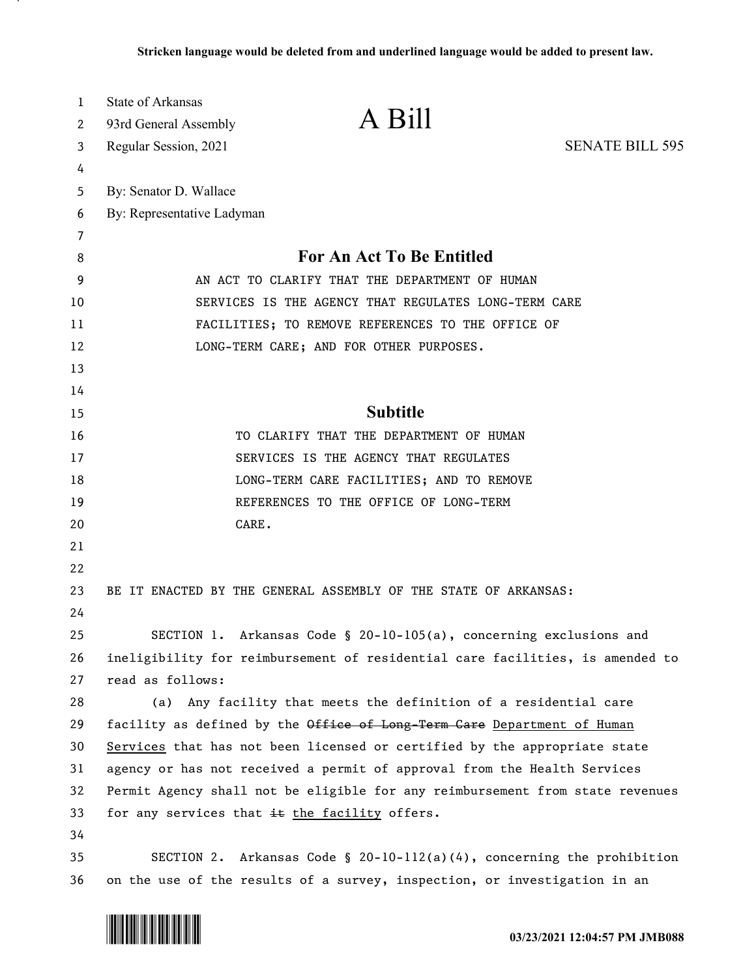| $\mathbf{1}$ | <b>State of Arkansas</b>                                                                                                                              | A Bill                                                                        |                        |
|--------------|-------------------------------------------------------------------------------------------------------------------------------------------------------|-------------------------------------------------------------------------------|------------------------|
| 2            | 93rd General Assembly                                                                                                                                 |                                                                               |                        |
| 3            | Regular Session, 2021                                                                                                                                 |                                                                               | <b>SENATE BILL 595</b> |
| 4            |                                                                                                                                                       |                                                                               |                        |
| 5            | By: Senator D. Wallace                                                                                                                                |                                                                               |                        |
| 6            | By: Representative Ladyman                                                                                                                            |                                                                               |                        |
| 7            |                                                                                                                                                       |                                                                               |                        |
| 8            | For An Act To Be Entitled                                                                                                                             |                                                                               |                        |
| 9            | AN ACT TO CLARIFY THAT THE DEPARTMENT OF HUMAN                                                                                                        |                                                                               |                        |
| 10           | SERVICES IS THE AGENCY THAT REGULATES LONG-TERM CARE                                                                                                  |                                                                               |                        |
| 11           | FACILITIES; TO REMOVE REFERENCES TO THE OFFICE OF<br>LONG-TERM CARE; AND FOR OTHER PURPOSES.                                                          |                                                                               |                        |
| 12           |                                                                                                                                                       |                                                                               |                        |
| 13           |                                                                                                                                                       |                                                                               |                        |
| 14           |                                                                                                                                                       |                                                                               |                        |
| 15           |                                                                                                                                                       | <b>Subtitle</b>                                                               |                        |
| 16           |                                                                                                                                                       | TO CLARIFY THAT THE DEPARTMENT OF HUMAN                                       |                        |
| 17           |                                                                                                                                                       | SERVICES IS THE AGENCY THAT REGULATES                                         |                        |
| 18           |                                                                                                                                                       | LONG-TERM CARE FACILITIES; AND TO REMOVE                                      |                        |
| 19           |                                                                                                                                                       | REFERENCES TO THE OFFICE OF LONG-TERM                                         |                        |
| 20           | CARE.                                                                                                                                                 |                                                                               |                        |
| 21           |                                                                                                                                                       |                                                                               |                        |
| 22           |                                                                                                                                                       |                                                                               |                        |
| 23           |                                                                                                                                                       | BE IT ENACTED BY THE GENERAL ASSEMBLY OF THE STATE OF ARKANSAS:               |                        |
| 24           |                                                                                                                                                       |                                                                               |                        |
| 25           |                                                                                                                                                       | SECTION 1. Arkansas Code § 20-10-105(a), concerning exclusions and            |                        |
| 26           |                                                                                                                                                       | ineligibility for reimbursement of residential care facilities, is amended to |                        |
| 27           | read as follows:                                                                                                                                      |                                                                               |                        |
| 28           |                                                                                                                                                       | (a) Any facility that meets the definition of a residential care              |                        |
| 29           | facility as defined by the Office of Long-Term Care Department of Human                                                                               |                                                                               |                        |
| 30           | Services that has not been licensed or certified by the appropriate state<br>agency or has not received a permit of approval from the Health Services |                                                                               |                        |
| 31           |                                                                                                                                                       |                                                                               |                        |
| 32           | Permit Agency shall not be eligible for any reimbursement from state revenues                                                                         |                                                                               |                        |
| 33           |                                                                                                                                                       | for any services that it the facility offers.                                 |                        |
| 34           |                                                                                                                                                       |                                                                               |                        |
| 35           |                                                                                                                                                       | SECTION 2. Arkansas Code § 20-10-112(a)(4), concerning the prohibition        |                        |
| 36           |                                                                                                                                                       | on the use of the results of a survey, inspection, or investigation in an     |                        |

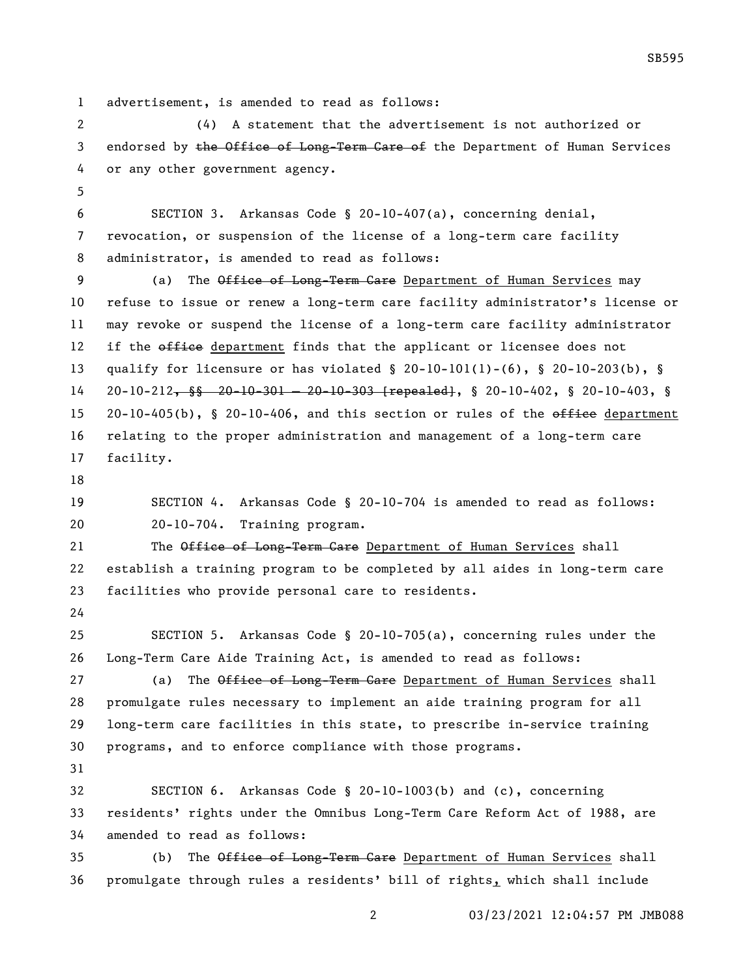advertisement, is amended to read as follows:

 (4) A statement that the advertisement is not authorized or 3 endorsed by the Office of Long-Term Care of the Department of Human Services or any other government agency.

 SECTION 3. Arkansas Code § 20-10-407(a), concerning denial, revocation, or suspension of the license of a long-term care facility administrator, is amended to read as follows:

9 (a) The Office of Long-Term Care Department of Human Services may refuse to issue or renew a long-term care facility administrator's license or may revoke or suspend the license of a long-term care facility administrator 12 if the office department finds that the applicant or licensee does not qualify for licensure or has violated § 20-10-101(1)-(6), § 20-10-203(b), § 20-10-212, §§ 20-10-301 — 20-10-303 [repealed], § 20-10-402, § 20-10-403, § 15 20-10-405(b), § 20-10-406, and this section or rules of the  $\theta$ fice department relating to the proper administration and management of a long-term care facility.

 SECTION 4. Arkansas Code § 20-10-704 is amended to read as follows: 20-10-704. Training program.

21 The Office of Long-Term Care Department of Human Services shall establish a training program to be completed by all aides in long-term care facilities who provide personal care to residents.

 SECTION 5. Arkansas Code § 20-10-705(a), concerning rules under the Long-Term Care Aide Training Act, is amended to read as follows:

27 (a) The Office of Long-Term Care Department of Human Services shall promulgate rules necessary to implement an aide training program for all long-term care facilities in this state, to prescribe in-service training programs, and to enforce compliance with those programs.

 SECTION 6. Arkansas Code § 20-10-1003(b) and (c), concerning residents' rights under the Omnibus Long-Term Care Reform Act of 1988, are amended to read as follows:

35 (b) The Office of Long-Term Care Department of Human Services shall promulgate through rules a residents' bill of rights, which shall include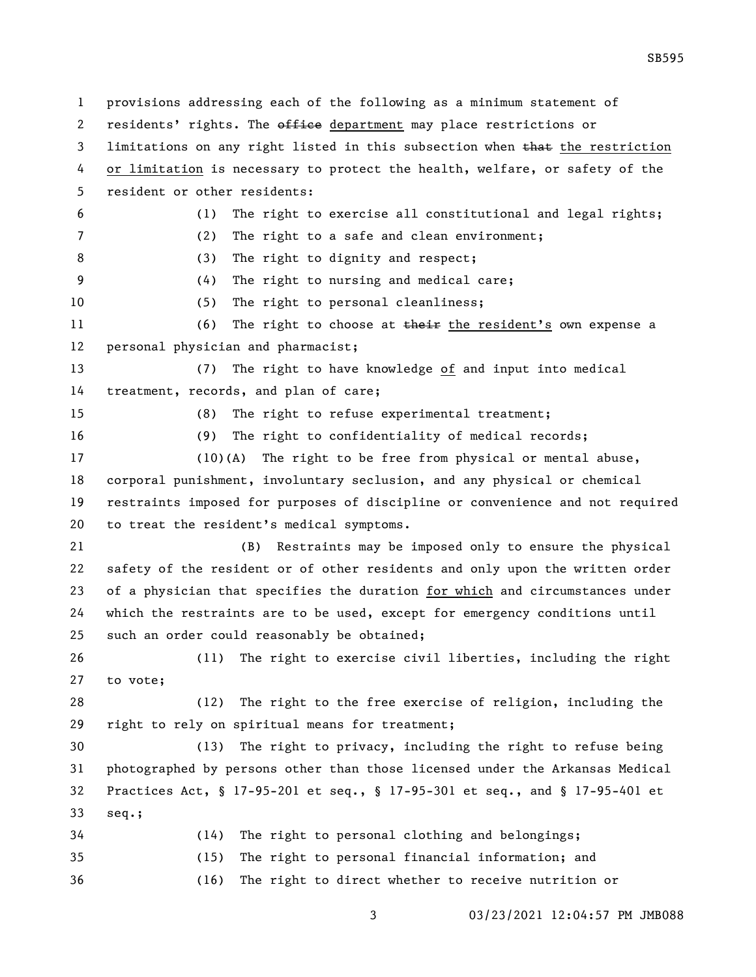provisions addressing each of the following as a minimum statement of 2 residents' rights. The office department may place restrictions or 3 limitations on any right listed in this subsection when that the restriction or limitation is necessary to protect the health, welfare, or safety of the resident or other residents: (1) The right to exercise all constitutional and legal rights; (2) The right to a safe and clean environment; 8 (3) The right to dignity and respect; (4) The right to nursing and medical care; (5) The right to personal cleanliness; 11 (6) The right to choose at their the resident's own expense a personal physician and pharmacist; (7) The right to have knowledge of and input into medical treatment, records, and plan of care; (8) The right to refuse experimental treatment; (9) The right to confidentiality of medical records; (10)(A) The right to be free from physical or mental abuse, corporal punishment, involuntary seclusion, and any physical or chemical restraints imposed for purposes of discipline or convenience and not required to treat the resident's medical symptoms. (B) Restraints may be imposed only to ensure the physical safety of the resident or of other residents and only upon the written order of a physician that specifies the duration for which and circumstances under which the restraints are to be used, except for emergency conditions until such an order could reasonably be obtained; (11) The right to exercise civil liberties, including the right to vote; (12) The right to the free exercise of religion, including the right to rely on spiritual means for treatment; (13) The right to privacy, including the right to refuse being photographed by persons other than those licensed under the Arkansas Medical Practices Act, § 17-95-201 et seq., § 17-95-301 et seq., and § 17-95-401 et seq.; (14) The right to personal clothing and belongings; (15) The right to personal financial information; and (16) The right to direct whether to receive nutrition or

03/23/2021 12:04:57 PM JMB088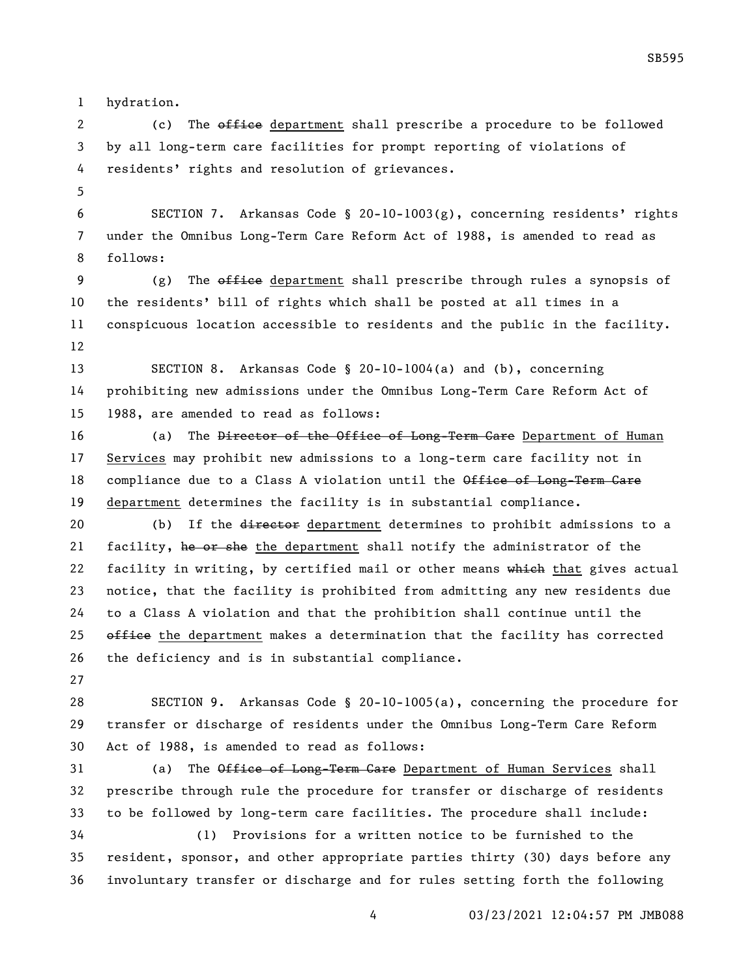hydration.

2 (c) The office department shall prescribe a procedure to be followed by all long-term care facilities for prompt reporting of violations of residents' rights and resolution of grievances.

 SECTION 7. Arkansas Code § 20-10-1003(g), concerning residents' rights under the Omnibus Long-Term Care Reform Act of 1988, is amended to read as follows:

9 (g) The  $\theta$  and  $\theta$  department shall prescribe through rules a synopsis of the residents' bill of rights which shall be posted at all times in a conspicuous location accessible to residents and the public in the facility. 

 SECTION 8. Arkansas Code § 20-10-1004(a) and (b), concerning prohibiting new admissions under the Omnibus Long-Term Care Reform Act of 1988, are amended to read as follows:

16 (a) The <del>Director of the Office of Long-Term Care</del> Department of Human Services may prohibit new admissions to a long-term care facility not in 18 compliance due to a Class A violation until the Office of Long-Term Care department determines the facility is in substantial compliance.

20 (b) If the director department determines to prohibit admissions to a 21 facility, he or she the department shall notify the administrator of the 22 facility in writing, by certified mail or other means which that gives actual notice, that the facility is prohibited from admitting any new residents due to a Class A violation and that the prohibition shall continue until the 25  $\theta$  office the department makes a determination that the facility has corrected the deficiency and is in substantial compliance.

 SECTION 9. Arkansas Code § 20-10-1005(a), concerning the procedure for transfer or discharge of residents under the Omnibus Long-Term Care Reform Act of 1988, is amended to read as follows:

31 (a) The Office of Long-Term Care Department of Human Services shall prescribe through rule the procedure for transfer or discharge of residents to be followed by long-term care facilities. The procedure shall include: (1) Provisions for a written notice to be furnished to the

 resident, sponsor, and other appropriate parties thirty (30) days before any involuntary transfer or discharge and for rules setting forth the following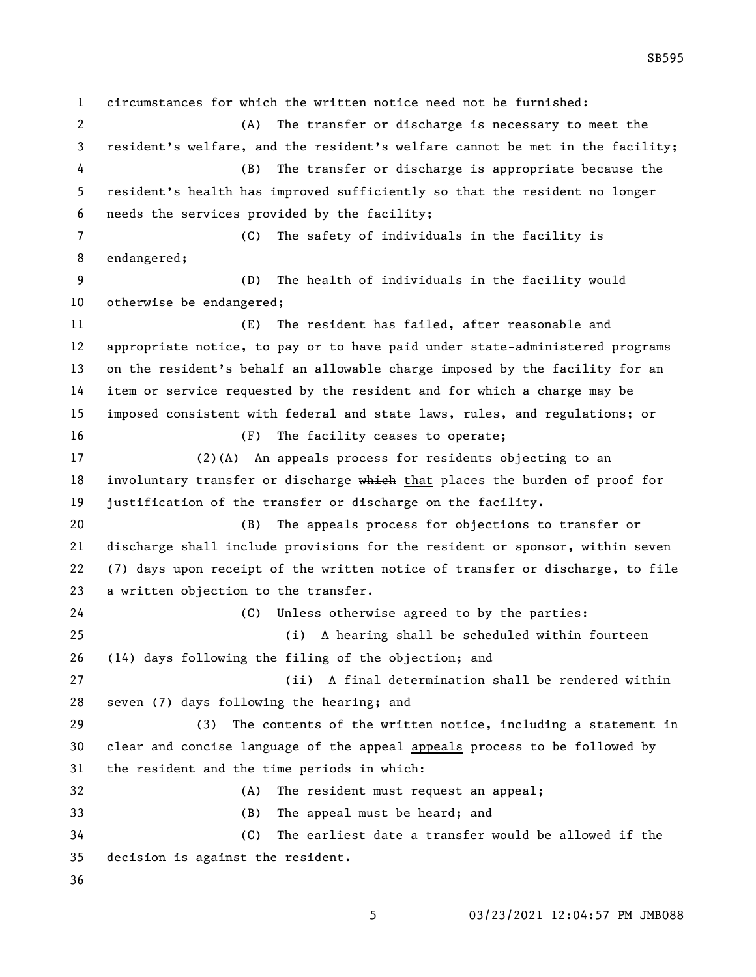circumstances for which the written notice need not be furnished: (A) The transfer or discharge is necessary to meet the resident's welfare, and the resident's welfare cannot be met in the facility; (B) The transfer or discharge is appropriate because the resident's health has improved sufficiently so that the resident no longer needs the services provided by the facility; (C) The safety of individuals in the facility is endangered; (D) The health of individuals in the facility would otherwise be endangered; (E) The resident has failed, after reasonable and appropriate notice, to pay or to have paid under state-administered programs on the resident's behalf an allowable charge imposed by the facility for an item or service requested by the resident and for which a charge may be imposed consistent with federal and state laws, rules, and regulations; or (F) The facility ceases to operate; (2)(A) An appeals process for residents objecting to an 18 involuntary transfer or discharge which that places the burden of proof for justification of the transfer or discharge on the facility. (B) The appeals process for objections to transfer or discharge shall include provisions for the resident or sponsor, within seven (7) days upon receipt of the written notice of transfer or discharge, to file a written objection to the transfer. (C) Unless otherwise agreed to by the parties: (i) A hearing shall be scheduled within fourteen (14) days following the filing of the objection; and (ii) A final determination shall be rendered within seven (7) days following the hearing; and (3) The contents of the written notice, including a statement in 30 clear and concise language of the appeal appeals process to be followed by the resident and the time periods in which: (A) The resident must request an appeal; (B) The appeal must be heard; and (C) The earliest date a transfer would be allowed if the decision is against the resident. 

03/23/2021 12:04:57 PM JMB088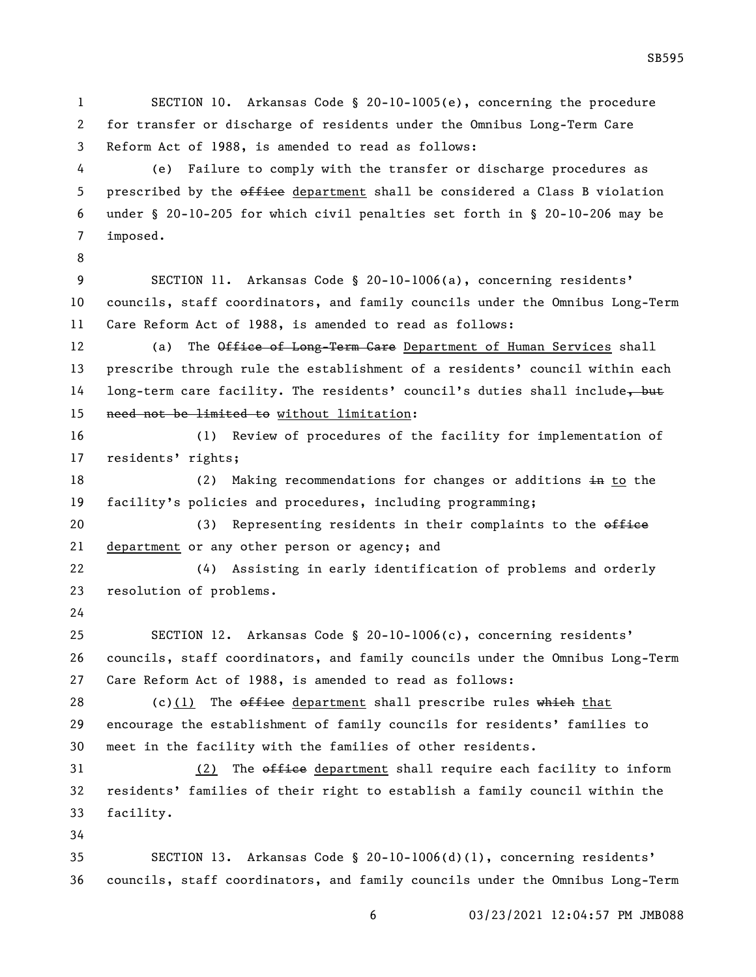SECTION 10. Arkansas Code § 20-10-1005(e), concerning the procedure for transfer or discharge of residents under the Omnibus Long-Term Care Reform Act of 1988, is amended to read as follows:

 (e) Failure to comply with the transfer or discharge procedures as 5 prescribed by the office department shall be considered a Class B violation under § 20-10-205 for which civil penalties set forth in § 20-10-206 may be imposed.

 SECTION 11. Arkansas Code § 20-10-1006(a), concerning residents' councils, staff coordinators, and family councils under the Omnibus Long-Term Care Reform Act of 1988, is amended to read as follows:

12 (a) The Office of Long-Term Care Department of Human Services shall prescribe through rule the establishment of a residents' council within each 14 long-term care facility. The residents' council's duties shall include, but need not be limited to without limitation:

 (1) Review of procedures of the facility for implementation of residents' rights;

18 (2) Making recommendations for changes or additions in to the facility's policies and procedures, including programming;

20 (3) Representing residents in their complaints to the office department or any other person or agency; and

 (4) Assisting in early identification of problems and orderly resolution of problems.

 SECTION 12. Arkansas Code § 20-10-1006(c), concerning residents' councils, staff coordinators, and family councils under the Omnibus Long-Term Care Reform Act of 1988, is amended to read as follows:

28 (c)(1) The  $\theta$  of field department shall prescribe rules which that encourage the establishment of family councils for residents' families to meet in the facility with the families of other residents.

31 (2) The office department shall require each facility to inform residents' families of their right to establish a family council within the facility.

 SECTION 13. Arkansas Code § 20-10-1006(d)(1), concerning residents' councils, staff coordinators, and family councils under the Omnibus Long-Term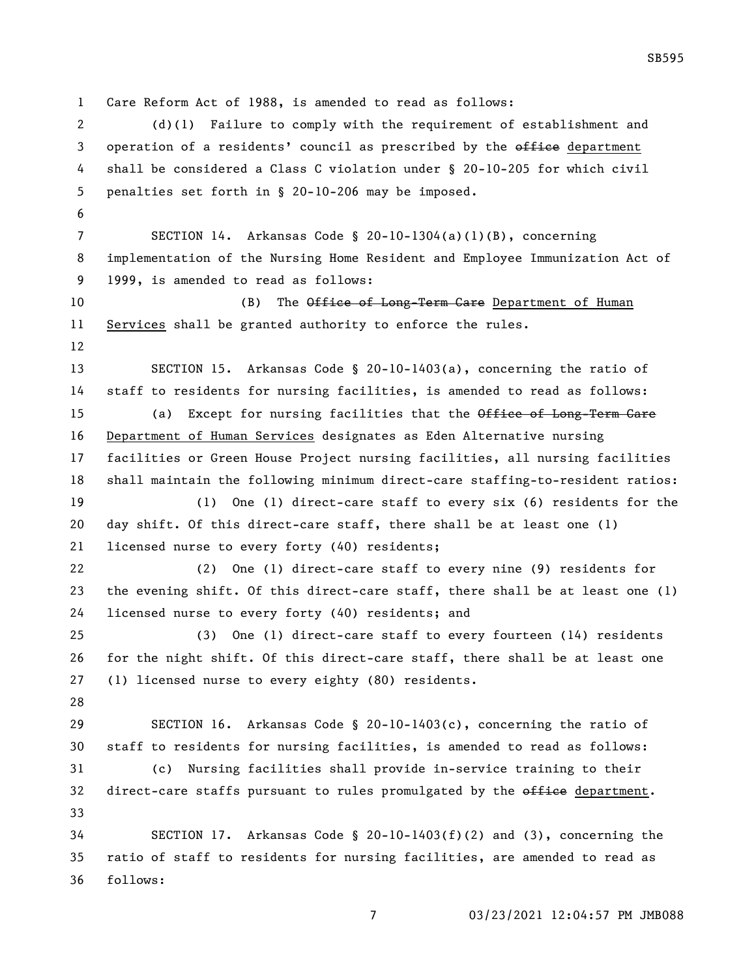Care Reform Act of 1988, is amended to read as follows: (d)(1) Failure to comply with the requirement of establishment and 3 operation of a residents' council as prescribed by the office department shall be considered a Class C violation under § 20-10-205 for which civil penalties set forth in § 20-10-206 may be imposed. SECTION 14. Arkansas Code § 20-10-1304(a)(1)(B), concerning implementation of the Nursing Home Resident and Employee Immunization Act of 1999, is amended to read as follows: 10 (B) The Office of Long-Term Care Department of Human Services shall be granted authority to enforce the rules. SECTION 15. Arkansas Code § 20-10-1403(a), concerning the ratio of staff to residents for nursing facilities, is amended to read as follows: 15 (a) Except for nursing facilities that the Office of Long-Term Care Department of Human Services designates as Eden Alternative nursing facilities or Green House Project nursing facilities, all nursing facilities shall maintain the following minimum direct-care staffing-to-resident ratios: (1) One (1) direct-care staff to every six (6) residents for the day shift. Of this direct-care staff, there shall be at least one (1) licensed nurse to every forty (40) residents; (2) One (1) direct-care staff to every nine (9) residents for the evening shift. Of this direct-care staff, there shall be at least one (1) licensed nurse to every forty (40) residents; and (3) One (1) direct-care staff to every fourteen (14) residents for the night shift. Of this direct-care staff, there shall be at least one (1) licensed nurse to every eighty (80) residents. SECTION 16. Arkansas Code § 20-10-1403(c), concerning the ratio of staff to residents for nursing facilities, is amended to read as follows: (c) Nursing facilities shall provide in-service training to their 32 direct-care staffs pursuant to rules promulgated by the office department. SECTION 17. Arkansas Code § 20-10-1403(f)(2) and (3), concerning the ratio of staff to residents for nursing facilities, are amended to read as follows:

SB595

03/23/2021 12:04:57 PM JMB088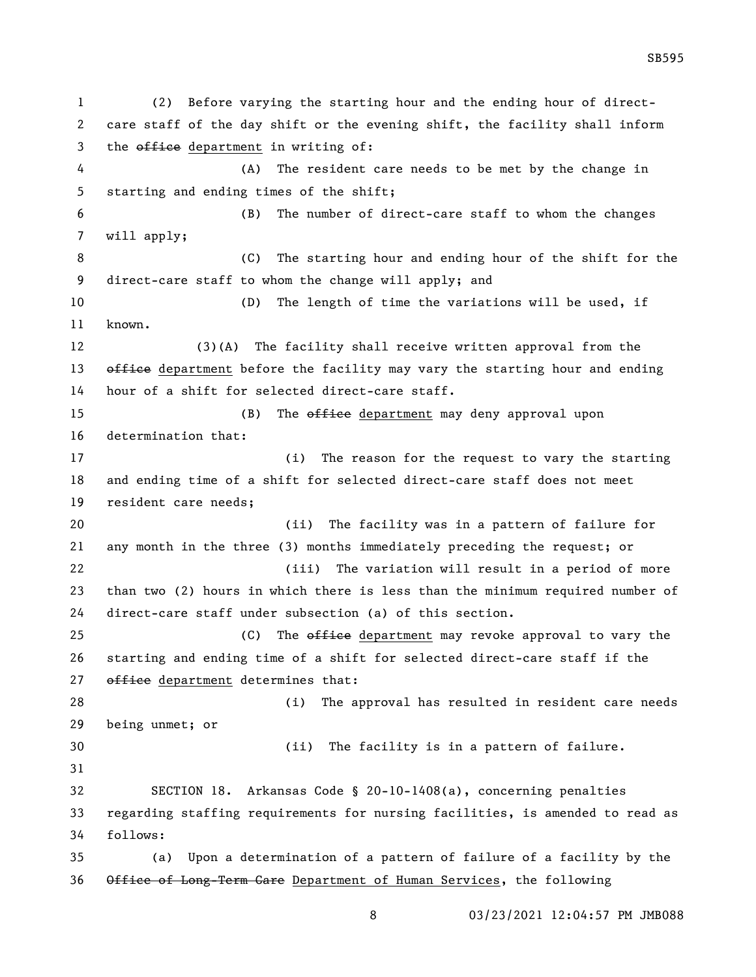(2) Before varying the starting hour and the ending hour of direct- care staff of the day shift or the evening shift, the facility shall inform 3 the office department in writing of: (A) The resident care needs to be met by the change in starting and ending times of the shift; (B) The number of direct-care staff to whom the changes will apply; (C) The starting hour and ending hour of the shift for the direct-care staff to whom the change will apply; and (D) The length of time the variations will be used, if known. (3)(A) The facility shall receive written approval from the 13 office department before the facility may vary the starting hour and ending hour of a shift for selected direct-care staff. 15 (B) The office department may deny approval upon determination that: (i) The reason for the request to vary the starting and ending time of a shift for selected direct-care staff does not meet resident care needs; (ii) The facility was in a pattern of failure for any month in the three (3) months immediately preceding the request; or (iii) The variation will result in a period of more than two (2) hours in which there is less than the minimum required number of direct-care staff under subsection (a) of this section. 25 (C) The <del>office</del> department may revoke approval to vary the starting and ending time of a shift for selected direct-care staff if the 27 office department determines that: (i) The approval has resulted in resident care needs being unmet; or (ii) The facility is in a pattern of failure. SECTION 18. Arkansas Code § 20-10-1408(a), concerning penalties regarding staffing requirements for nursing facilities, is amended to read as follows: (a) Upon a determination of a pattern of failure of a facility by the Office of Long-Term Care Department of Human Services, the following

03/23/2021 12:04:57 PM JMB088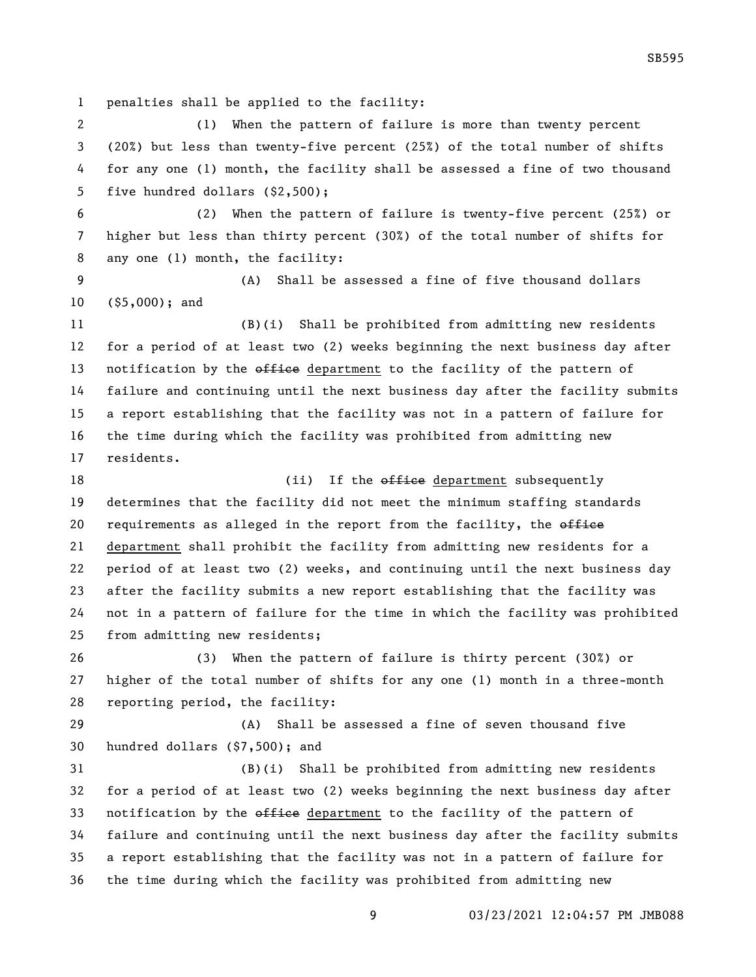penalties shall be applied to the facility:

 (1) When the pattern of failure is more than twenty percent (20%) but less than twenty-five percent (25%) of the total number of shifts for any one (1) month, the facility shall be assessed a fine of two thousand five hundred dollars (\$2,500);

 (2) When the pattern of failure is twenty-five percent (25%) or higher but less than thirty percent (30%) of the total number of shifts for any one (1) month, the facility:

 (A) Shall be assessed a fine of five thousand dollars (\$5,000); and

 (B)(i) Shall be prohibited from admitting new residents for a period of at least two (2) weeks beginning the next business day after 13 notification by the office department to the facility of the pattern of failure and continuing until the next business day after the facility submits a report establishing that the facility was not in a pattern of failure for the time during which the facility was prohibited from admitting new residents.

18 (ii) If the office department subsequently determines that the facility did not meet the minimum staffing standards 20 requirements as alleged in the report from the facility, the  $\theta$ *ffiee*  department shall prohibit the facility from admitting new residents for a period of at least two (2) weeks, and continuing until the next business day after the facility submits a new report establishing that the facility was not in a pattern of failure for the time in which the facility was prohibited from admitting new residents;

 (3) When the pattern of failure is thirty percent (30%) or higher of the total number of shifts for any one (1) month in a three-month reporting period, the facility:

 (A) Shall be assessed a fine of seven thousand five hundred dollars (\$7,500); and

 (B)(i) Shall be prohibited from admitting new residents for a period of at least two (2) weeks beginning the next business day after 33 notification by the office department to the facility of the pattern of failure and continuing until the next business day after the facility submits a report establishing that the facility was not in a pattern of failure for the time during which the facility was prohibited from admitting new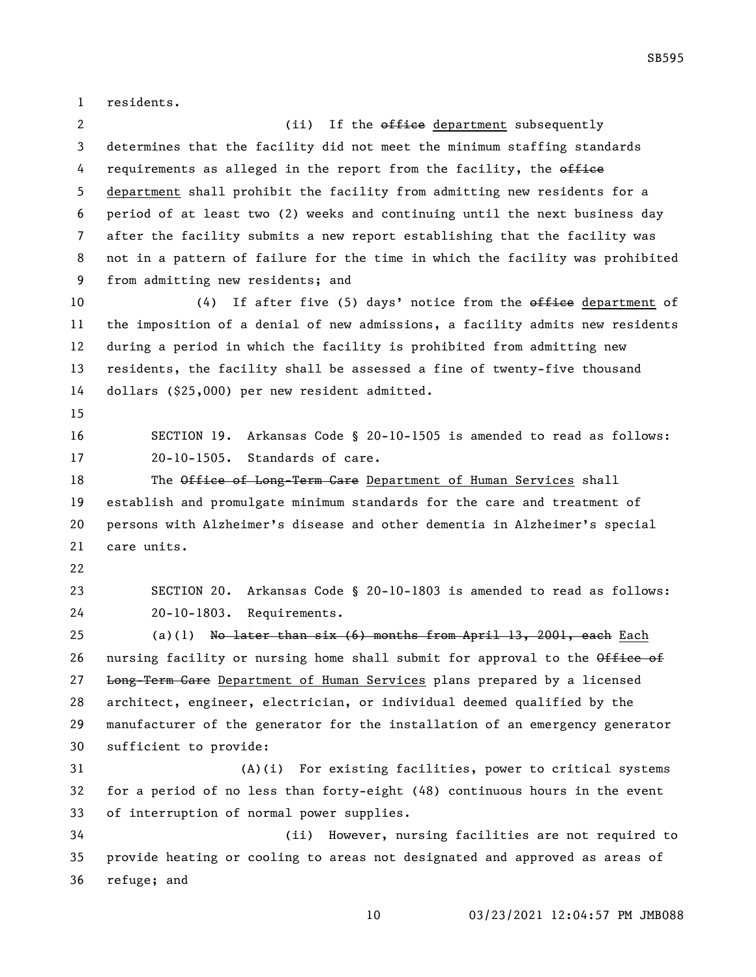residents.

2 (ii) If the office department subsequently determines that the facility did not meet the minimum staffing standards 4 requirements as alleged in the report from the facility, the office department shall prohibit the facility from admitting new residents for a period of at least two (2) weeks and continuing until the next business day after the facility submits a new report establishing that the facility was not in a pattern of failure for the time in which the facility was prohibited from admitting new residents; and

10 (4) If after five (5) days' notice from the office department of the imposition of a denial of new admissions, a facility admits new residents during a period in which the facility is prohibited from admitting new residents, the facility shall be assessed a fine of twenty-five thousand dollars (\$25,000) per new resident admitted.

 SECTION 19. Arkansas Code § 20-10-1505 is amended to read as follows: 20-10-1505. Standards of care.

18 The Office of Long-Term Care Department of Human Services shall establish and promulgate minimum standards for the care and treatment of persons with Alzheimer's disease and other dementia in Alzheimer's special care units.

 SECTION 20. Arkansas Code § 20-10-1803 is amended to read as follows: 20-10-1803. Requirements.

25 (a)(1) No later than  $six (6)$  months from April 13, 2001, each Each 26 nursing facility or nursing home shall submit for approval to the Office of 27 Long-Term Care Department of Human Services plans prepared by a licensed architect, engineer, electrician, or individual deemed qualified by the manufacturer of the generator for the installation of an emergency generator sufficient to provide:

 (A)(i) For existing facilities, power to critical systems for a period of no less than forty-eight (48) continuous hours in the event of interruption of normal power supplies.

 (ii) However, nursing facilities are not required to provide heating or cooling to areas not designated and approved as areas of refuge; and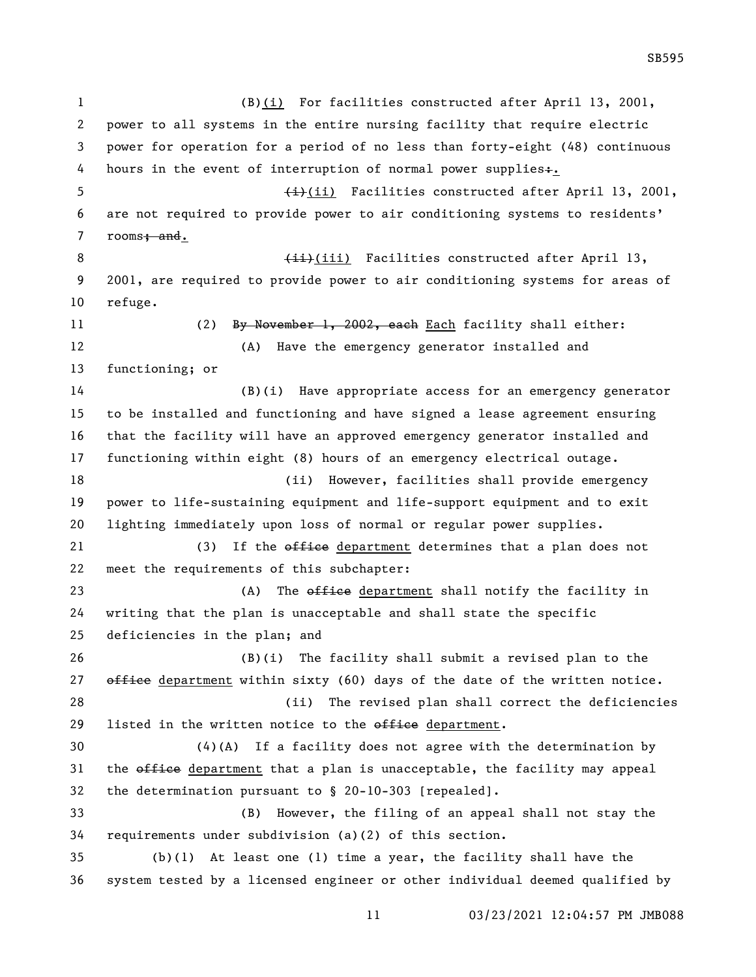(B)(i) For facilities constructed after April 13, 2001, power to all systems in the entire nursing facility that require electric power for operation for a period of no less than forty-eight (48) continuous 4 hours in the event of interruption of normal power supplies+. 5 (ii) Facilities constructed after April 13, 2001, are not required to provide power to air conditioning systems to residents' 7 rooms<del>; and</del>. 8 (iii) Facilities constructed after April 13, 2001, are required to provide power to air conditioning systems for areas of refuge. 11 (2) By November 1, 2002, each Each facility shall either: (A) Have the emergency generator installed and functioning; or (B)(i) Have appropriate access for an emergency generator to be installed and functioning and have signed a lease agreement ensuring that the facility will have an approved emergency generator installed and functioning within eight (8) hours of an emergency electrical outage. (ii) However, facilities shall provide emergency power to life-sustaining equipment and life-support equipment and to exit lighting immediately upon loss of normal or regular power supplies. 21 (3) If the office department determines that a plan does not meet the requirements of this subchapter: 23 (A) The office department shall notify the facility in writing that the plan is unacceptable and shall state the specific deficiencies in the plan; and (B)(i) The facility shall submit a revised plan to the  $\theta$  office department within sixty (60) days of the date of the written notice. (ii) The revised plan shall correct the deficiencies 29 listed in the written notice to the  $\theta$  and  $\theta$  department. (4)(A) If a facility does not agree with the determination by 31 the office department that a plan is unacceptable, the facility may appeal the determination pursuant to § 20-10-303 [repealed]. (B) However, the filing of an appeal shall not stay the requirements under subdivision (a)(2) of this section. (b)(1) At least one (1) time a year, the facility shall have the system tested by a licensed engineer or other individual deemed qualified by

03/23/2021 12:04:57 PM JMB088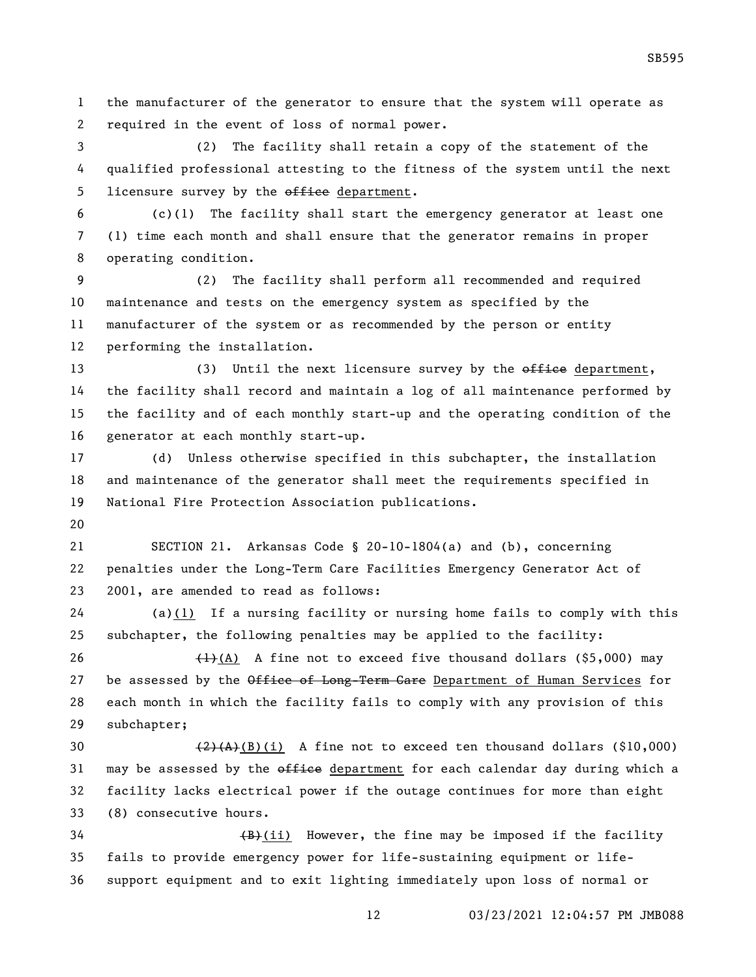the manufacturer of the generator to ensure that the system will operate as required in the event of loss of normal power.

 (2) The facility shall retain a copy of the statement of the qualified professional attesting to the fitness of the system until the next 5 licensure survey by the office department.

 (c)(1) The facility shall start the emergency generator at least one (1) time each month and shall ensure that the generator remains in proper operating condition.

 (2) The facility shall perform all recommended and required maintenance and tests on the emergency system as specified by the manufacturer of the system or as recommended by the person or entity performing the installation.

13 (3) Until the next licensure survey by the office department, the facility shall record and maintain a log of all maintenance performed by the facility and of each monthly start-up and the operating condition of the generator at each monthly start-up.

 (d) Unless otherwise specified in this subchapter, the installation and maintenance of the generator shall meet the requirements specified in National Fire Protection Association publications.

 SECTION 21. Arkansas Code § 20-10-1804(a) and (b), concerning penalties under the Long-Term Care Facilities Emergency Generator Act of 2001, are amended to read as follows:

 (a)(1) If a nursing facility or nursing home fails to comply with this subchapter, the following penalties may be applied to the facility:

 $(1)$ (A) A fine not to exceed five thousand dollars (\$5,000) may 27 be assessed by the Office of Long-Term Care Department of Human Services for each month in which the facility fails to comply with any provision of this subchapter;

 $(2)(A)(B)(i)$  A fine not to exceed ten thousand dollars (\$10,000) 31 may be assessed by the  $\sigma$  of fice department for each calendar day during which a facility lacks electrical power if the outage continues for more than eight (8) consecutive hours.

 $\overline{B}(B)$ (ii) However, the fine may be imposed if the facility fails to provide emergency power for life-sustaining equipment or life-support equipment and to exit lighting immediately upon loss of normal or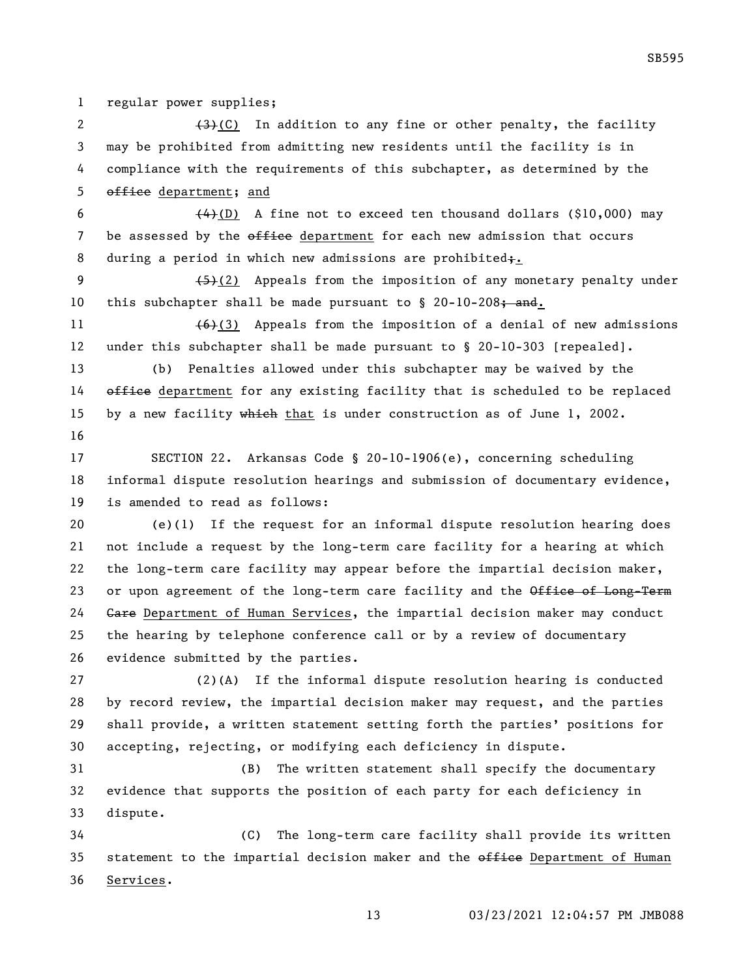regular power supplies;

 $(3)+(C)$  In addition to any fine or other penalty, the facility may be prohibited from admitting new residents until the facility is in compliance with the requirements of this subchapter, as determined by the 5 office department; and

6  $(4)$ (D) A fine not to exceed ten thousand dollars (\$10,000) may 7 be assessed by the office department for each new admission that occurs 8 during a period in which new admissions are prohibited;.

9  $(5)(2)$  Appeals from the imposition of any monetary penalty under 10 this subchapter shall be made pursuant to  $\S$  20-10-208; and.

11  $(6)(3)$  Appeals from the imposition of a denial of new admissions under this subchapter shall be made pursuant to § 20-10-303 [repealed].

 (b) Penalties allowed under this subchapter may be waived by the 14 office department for any existing facility that is scheduled to be replaced 15 by a new facility which that is under construction as of June 1, 2002. 

 SECTION 22. Arkansas Code § 20-10-1906(e), concerning scheduling informal dispute resolution hearings and submission of documentary evidence, is amended to read as follows:

 (e)(1) If the request for an informal dispute resolution hearing does not include a request by the long-term care facility for a hearing at which the long-term care facility may appear before the impartial decision maker, 23 or upon agreement of the long-term care facility and the Office of Long-Term 24 Gare Department of Human Services, the impartial decision maker may conduct the hearing by telephone conference call or by a review of documentary evidence submitted by the parties.

 (2)(A) If the informal dispute resolution hearing is conducted by record review, the impartial decision maker may request, and the parties shall provide, a written statement setting forth the parties' positions for accepting, rejecting, or modifying each deficiency in dispute.

 (B) The written statement shall specify the documentary evidence that supports the position of each party for each deficiency in dispute.

 (C) The long-term care facility shall provide its written 35 statement to the impartial decision maker and the office Department of Human Services.

03/23/2021 12:04:57 PM JMB088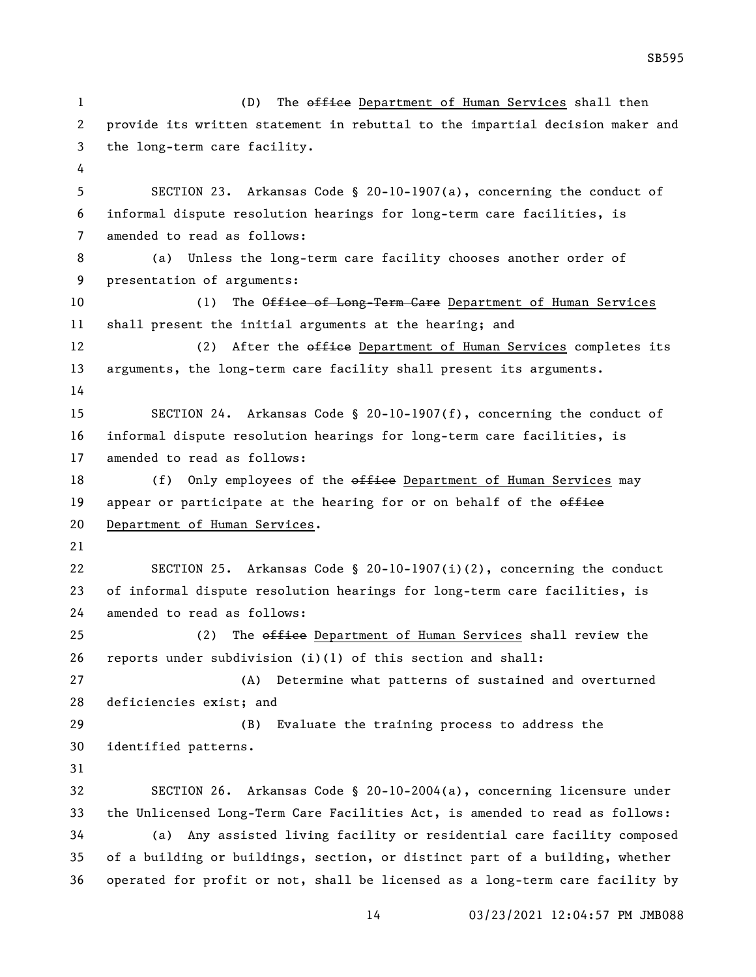1 (D) The office Department of Human Services shall then provide its written statement in rebuttal to the impartial decision maker and the long-term care facility. SECTION 23. Arkansas Code § 20-10-1907(a), concerning the conduct of informal dispute resolution hearings for long-term care facilities, is amended to read as follows: (a) Unless the long-term care facility chooses another order of presentation of arguments: 10 (1) The Office of Long-Term Care Department of Human Services shall present the initial arguments at the hearing; and 12 (2) After the office Department of Human Services completes its arguments, the long-term care facility shall present its arguments. SECTION 24. Arkansas Code § 20-10-1907(f), concerning the conduct of informal dispute resolution hearings for long-term care facilities, is amended to read as follows: 18 (f) Only employees of the office Department of Human Services may 19 appear or participate at the hearing for or on behalf of the office Department of Human Services. SECTION 25. Arkansas Code § 20-10-1907(i)(2), concerning the conduct of informal dispute resolution hearings for long-term care facilities, is amended to read as follows: 25 (2) The office Department of Human Services shall review the 26 reports under subdivision  $(i)(1)$  of this section and shall: (A) Determine what patterns of sustained and overturned deficiencies exist; and (B) Evaluate the training process to address the identified patterns. SECTION 26. Arkansas Code § 20-10-2004(a), concerning licensure under the Unlicensed Long-Term Care Facilities Act, is amended to read as follows: (a) Any assisted living facility or residential care facility composed of a building or buildings, section, or distinct part of a building, whether operated for profit or not, shall be licensed as a long-term care facility by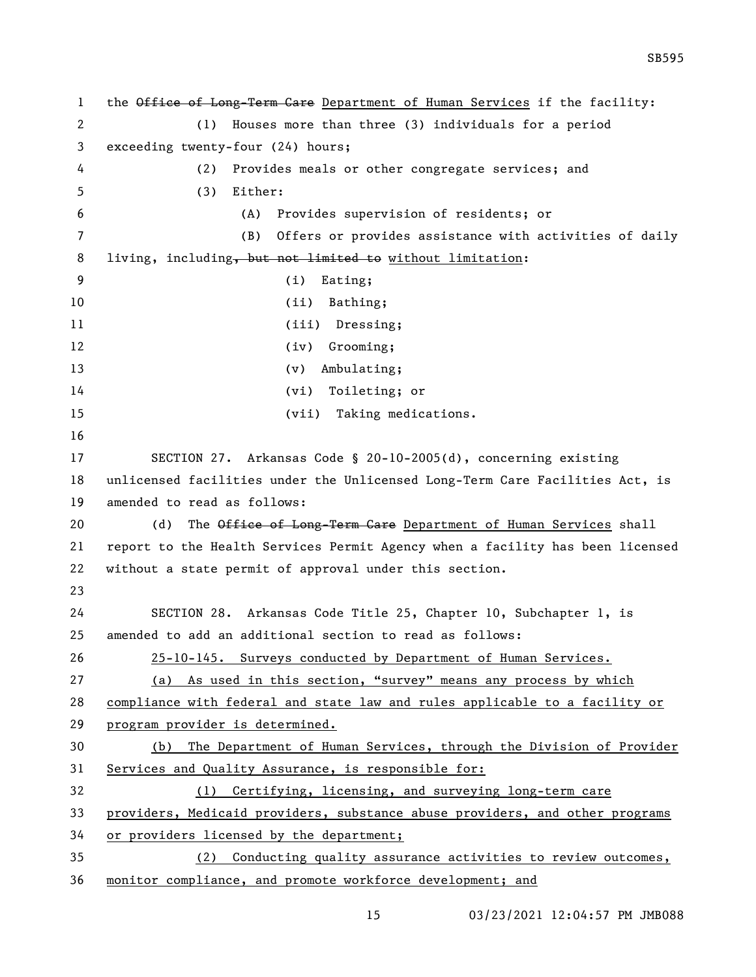1 the Office of Long-Term Care Department of Human Services if the facility: (1) Houses more than three (3) individuals for a period exceeding twenty-four (24) hours; (2) Provides meals or other congregate services; and (3) Either: (A) Provides supervision of residents; or (B) Offers or provides assistance with activities of daily 8 living, including, but not limited to without limitation: (i) Eating; 10 (ii) Bathing; 11 (iii) Dressing; 12 (iv) Grooming; 13 (v) Ambulating; (vi) Toileting; or (vii) Taking medications. SECTION 27. Arkansas Code § 20-10-2005(d), concerning existing unlicensed facilities under the Unlicensed Long-Term Care Facilities Act, is amended to read as follows: 20 (d) The Office of Long-Term Care Department of Human Services shall report to the Health Services Permit Agency when a facility has been licensed without a state permit of approval under this section. SECTION 28. Arkansas Code Title 25, Chapter 10, Subchapter 1, is amended to add an additional section to read as follows: 25-10-145. Surveys conducted by Department of Human Services. (a) As used in this section, "survey" means any process by which compliance with federal and state law and rules applicable to a facility or program provider is determined. (b) The Department of Human Services, through the Division of Provider 31 Services and Quality Assurance, is responsible for: (1) Certifying, licensing, and surveying long-term care providers, Medicaid providers, substance abuse providers, and other programs or providers licensed by the department; (2) Conducting quality assurance activities to review outcomes, monitor compliance, and promote workforce development; and